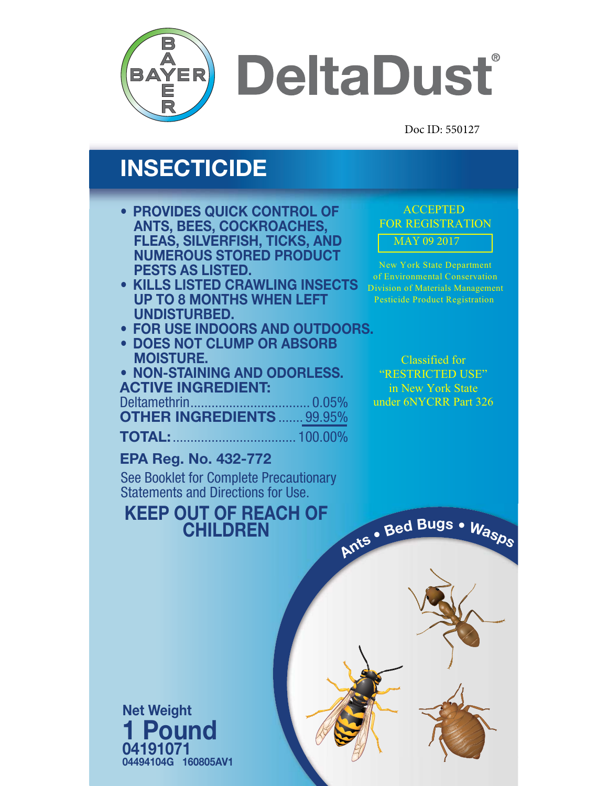

**DeltaDust** 

Doc ID: 550127

# **INSECTICIDE**

- **PROVIDES QUICK CONTROL OF ANTS, BEES, COCKROACHES, FLEAS, SILVERFISH, TICKS, AND NUMEROUS STORED PRODUCT PESTS AS LISTED.**
- **• KILLS LISTED CRAWLING INSECTS UP TO 8 MONTHS WHEN LEFT UNDISTURBED.**
- **• FOR USE INDOORS AND OUTDOORS.**
- **DOES NOT CLUMP OR ABSORB MOISTURE.**
- **• NON-STAINING AND ODORLESS. ACTIVE INGREDIENT:**

Deltamethrin.................................. 0.05% **OTHER INGREDIENTS** ....... 99.95%

**TOTAL:**................................... 100.00%

### **EPA Reg. No. 432-772**

See Booklet for Complete Precautionary Statements and Directions for Use.

1

## **KEEP OUT OF REACH OF CHILDREN**

AY 09 2017 ACCEPTED FOR REGISTRATION

New York State Department of Environmental Conservation Division of Materials Management Pesticide Product Registration

Classified for "RESTRICTED USE" in New York State under 6NYCRR Part 326

**<sup>A</sup>nt<sup>s</sup> • <sup>B</sup>e<sup>d</sup> <sup>B</sup>ug<sup>s</sup> • <sup>W</sup>asp<sup>s</sup>**

**04191071 04494104G 160805AV1 Net Weight 1 Pound**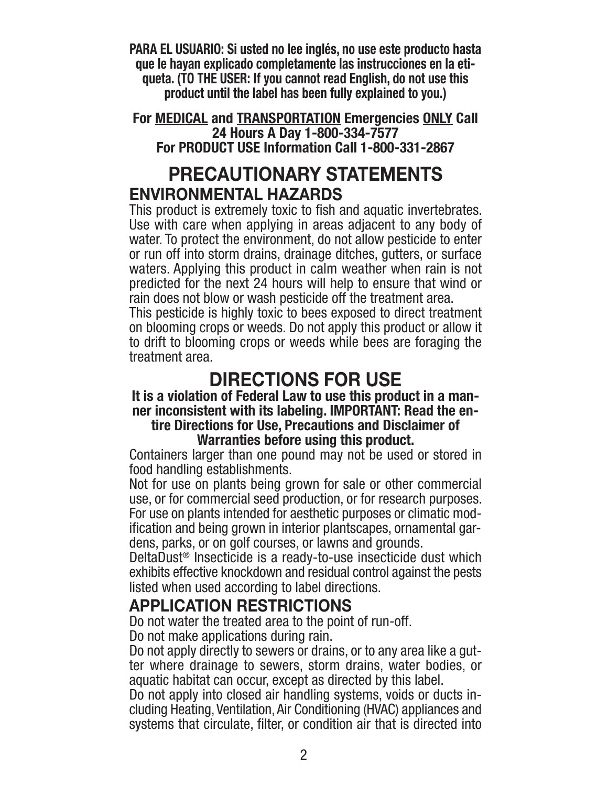**PARA EL USUARIO: Si usted no lee inglés, no use este producto hasta que le hayan explicado completamente las instrucciones en la etiqueta. (TO THE USER: If you cannot read English, do not use this product until the label has been fully explained to you.)**

**For MEDICAL and TRANSPORTATION Emergencies ONLY Call 24 Hours A Day 1-800-334-7577 For PRODUCT USE Information Call 1-800-331-2867**

## **PRECAUTIONARY STATEMENTS ENVIRONMENTAL HAZARDS**

This product is extremely toxic to fish and aquatic invertebrates. Use with care when applying in areas adjacent to any body of water. To protect the environment, do not allow pesticide to enter or run off into storm drains, drainage ditches, gutters, or surface waters. Applying this product in calm weather when rain is not predicted for the next 24 hours will help to ensure that wind or rain does not blow or wash pesticide off the treatment area.

This pesticide is highly toxic to bees exposed to direct treatment on blooming crops or weeds. Do not apply this product or allow it to drift to blooming crops or weeds while bees are foraging the treatment area.

## **DIRECTIONS FOR USE**

#### **It is a violation of Federal Law to use this product in a manner inconsistent with its labeling. IMPORTANT: Read the entire Directions for Use, Precautions and Disclaimer of Warranties before using this product.**

Containers larger than one pound may not be used or stored in food handling establishments.

Not for use on plants being grown for sale or other commercial use, or for commercial seed production, or for research purposes. For use on plants intended for aesthetic purposes or climatic modification and being grown in interior plantscapes, ornamental gardens, parks, or on golf courses, or lawns and grounds.

DeltaDust ® Insecticide is a ready-to-use insecticide dust which exhibits effective knockdown and residual control against the pests listed when used according to label directions.

### **APPLICATION RESTRICTIONS**

Do not water the treated area to the point of run-off. Do not make applications during rain.

Do not apply directly to sewers or drains, or to any area like a gutter where drainage to sewers, storm drains, water bodies, or aquatic habitat can occur, except as directed by this label.

Do not apply into closed air handling systems, voids or ducts in- cluding Heating, Ventilation, Air Conditioning (HVAC) appliances and systems that circulate, filter, or condition air that is directed into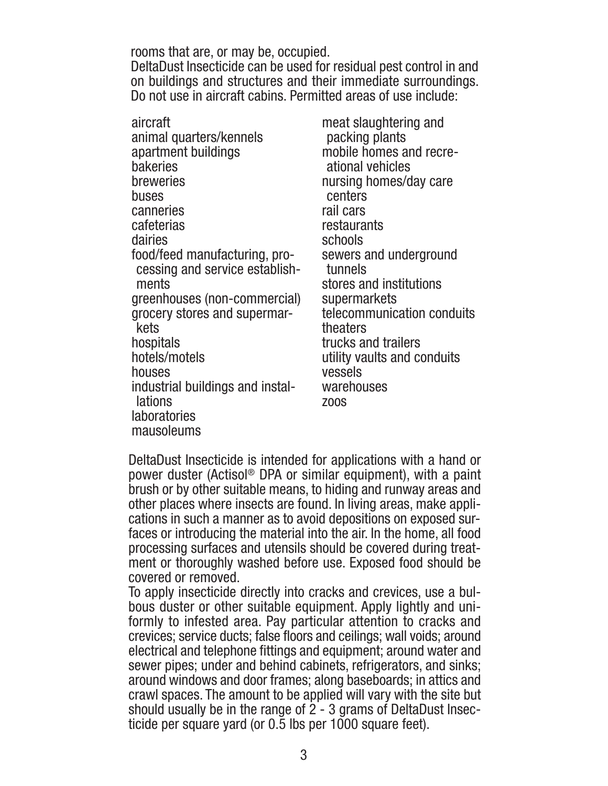#### rooms that are, or may be, occupied.

DeltaDust Insecticide can be used for residual pest control in and on buildings and structures and their immediate surroundings. Do not use in aircraft cabins. Permitted areas of use include:

aircraft animal quarters/kennels apartment buildings bakeries breweries buses canneries cafeterias dairies food/feed manufacturing, processing and service establishments greenhouses (non-commercial) grocery stores and supermarkets hospitals hotels/motels houses industrial buildings and installations **laboratories** mausoleums

meat slaughtering and packing plants mobile homes and recreational vehicles nursing homes/day care centers rail cars restaurants schools sewers and underground tunnels stores and institutions supermarkets telecommunication conduits theaters trucks and trailers utility vaults and conduits vessels warehouses zoos

DeltaDust Insecticide is intended for applications with a hand or power duster (Actisol® DPA or similar equipment), with a paint brush or by other suitable means, to hiding and runway areas and other places where insects are found. In living areas, make applications in such a manner as to avoid depositions on exposed surfaces or introducing the material into the air. In the home, all food processing surfaces and utensils should be covered during treatment or thoroughly washed before use. Exposed food should be covered or removed.

To apply insecticide directly into cracks and crevices, use a bulbous duster or other suitable equipment. Apply lightly and uniformly to infested area. Pay particular attention to cracks and crevices; service ducts; false floors and ceilings; wall voids; around electrical and telephone fittings and equipment; around water and sewer pipes; under and behind cabinets, refrigerators, and sinks; around windows and door frames; along baseboards; in attics and crawl spaces. The amount to be applied will vary with the site but should usually be in the range of 2 - 3 grams of DeltaDust Insecticide per square yard (or 0.5 lbs per 1000 square feet).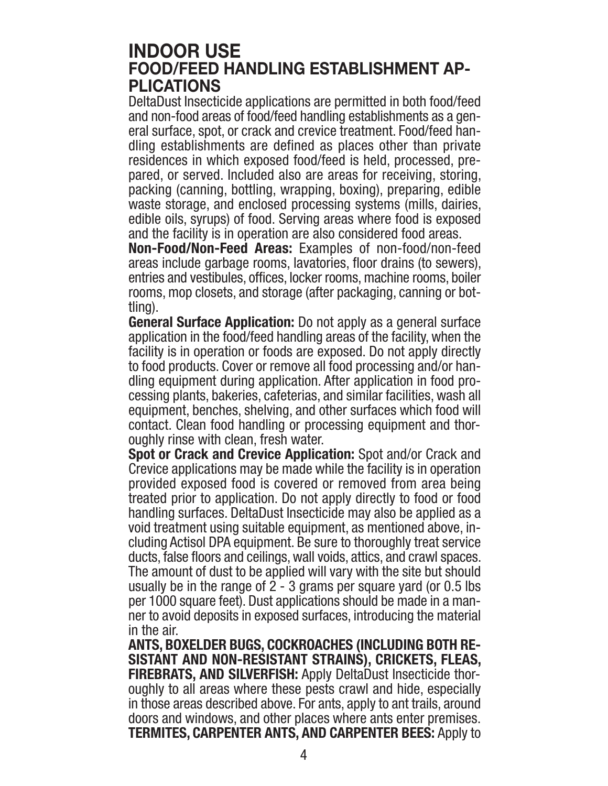### **INDOOR USE FOOD/FEED HANDLING ESTABLISHMENT AP-PLICATIONS**

DeltaDust Insecticide applications are permitted in both food/feed and non-food areas of food/feed handling establishments as a general surface, spot, or crack and crevice treatment. Food/feed handling establishments are defined as places other than private residences in which exposed food/feed is held, processed, prepared, or served. Included also are areas for receiving, storing, packing (canning, bottling, wrapping, boxing), preparing, edible waste storage, and enclosed processing systems (mills, dairies, edible oils, syrups) of food. Serving areas where food is exposed and the facility is in operation are also considered food areas.

**Non-Food/Non-Feed Areas:** Examples of non-food/non-feed areas include garbage rooms, lavatories, floor drains (to sewers), entries and vestibules, offices, locker rooms, machine rooms, boiler rooms, mop closets, and storage (after packaging, canning or bottling).

**General Surface Application:** Do not apply as a general surface application in the food/feed handling areas of the facility, when the facility is in operation or foods are exposed. Do not apply directly to food products. Cover or remove all food processing and/or han- dling equipment during application. After application in food processing plants, bakeries, cafeterias, and similar facilities, wash all equipment, benches, shelving, and other surfaces which food will contact. Clean food handling or processing equipment and thoroughly rinse with clean, fresh water.

**Spot or Crack and Crevice Application:** Spot and/or Crack and Crevice applications may be made while the facility is in operation provided exposed food is covered or removed from area being treated prior to application. Do not apply directly to food or food handling surfaces. DeltaDust Insecticide may also be applied as a void treatment using suitable equipment, as mentioned above, including Actisol DPA equipment. Be sure to thoroughly treat service ducts, false floors and ceilings, wall voids, attics, and crawl spaces. The amount of dust to be applied will vary with the site but should usually be in the range of 2 - 3 grams per square yard (or 0.5 lbs per 1000 square feet). Dust applications should be made in a manner to avoid deposits in exposed surfaces, introducing the material in the air.

**ANTS, BOXELDER BUGS, COCKROACHES (INCLUDING BOTH RE-SISTANT AND NON-RESISTANT STRAINS), CRICKETS, FLEAS, FIREBRATS, AND SILVERFISH:** Apply DeltaDust Insecticide thor- oughly to all areas where these pests crawl and hide, especially in those areas described above. For ants, apply to ant trails, around doors and windows, and other places where ants enter premises. **TERMITES, CARPENTER ANTS, AND CARPENTER BEES:** Apply to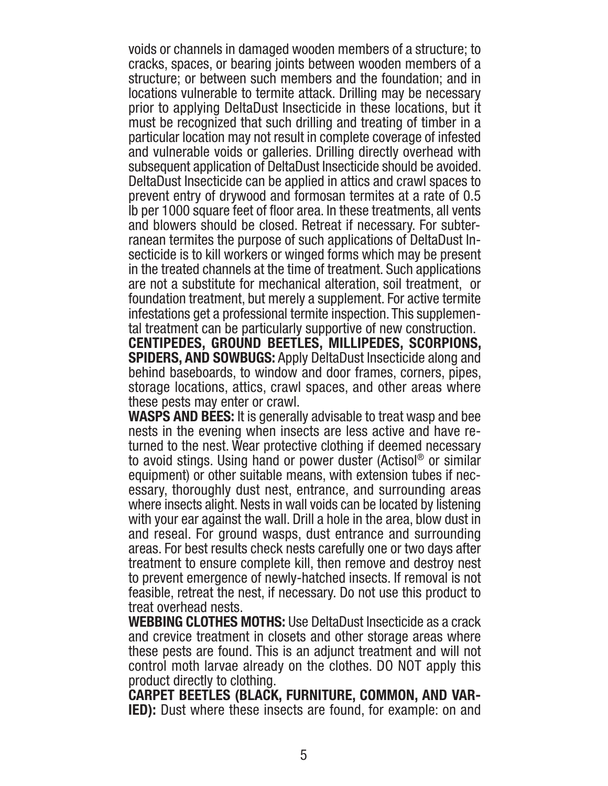voids or channels in damaged wooden members of a structure; to cracks, spaces, or bearing joints between wooden members of a structure; or between such members and the foundation; and in locations vulnerable to termite attack. Drilling may be necessary prior to applying DeltaDust Insecticide in these locations, but it must be recognized that such drilling and treating of timber in a particular location may not result in complete coverage of infested and vulnerable voids or galleries. Drilling directly overhead with subsequent application of DeltaDust Insecticide should be avoided. DeltaDust Insecticide can be applied in attics and crawl spaces to prevent entry of drywood and formosan termites at a rate of 0.5 lb per 1000 square feet of floor area. In these treatments, all vents and blowers should be closed. Retreat if necessary. For subterranean termites the purpose of such applications of DeltaDust Insecticide is to kill workers or winged forms which may be present in the treated channels at the time of treatment. Such applications are not a substitute for mechanical alteration, soil treatment, or foundation treatment, but merely a supplement. For active termite infestations get a professional termite inspection. This supplemental treatment can be particularly supportive of new construction.

**CENTIPEDES, GROUND BEETLES, MILLIPEDES, SCORPIONS, SPIDERS, AND SOWBUGS:** Apply DeltaDust Insecticide along and behind baseboards, to window and door frames, corners, pipes, storage locations, attics, crawl spaces, and other areas where these pests may enter or crawl.

**WASPS AND BEES:** It is generally advisable to treat wasp and bee nests in the evening when insects are less active and have returned to the nest. Wear protective clothing if deemed necessary to avoid stings. Using hand or power duster (Actisol® or similar equipment) or other suitable means, with extension tubes if necessary, thoroughly dust nest, entrance, and surrounding areas where insects alight. Nests in wall voids can be located by listening with your ear against the wall. Drill a hole in the area, blow dust in and reseal. For ground wasps, dust entrance and surrounding areas. For best results check nests carefully one or two days after treatment to ensure complete kill, then remove and destroy nest to prevent emergence of newly-hatched insects. If removal is not feasible, retreat the nest, if necessary. Do not use this product to treat overhead nests.

**WEBBING CLOTHES MOTHS:** Use DeltaDust Insecticide as a crack and crevice treatment in closets and other storage areas where these pests are found. This is an adjunct treatment and will not control moth larvae already on the clothes. DO NOT apply this product directly to clothing.

**CARPET BEETLES (BLACK, FURNITURE, COMMON, AND VAR-IED):** Dust where these insects are found, for example: on and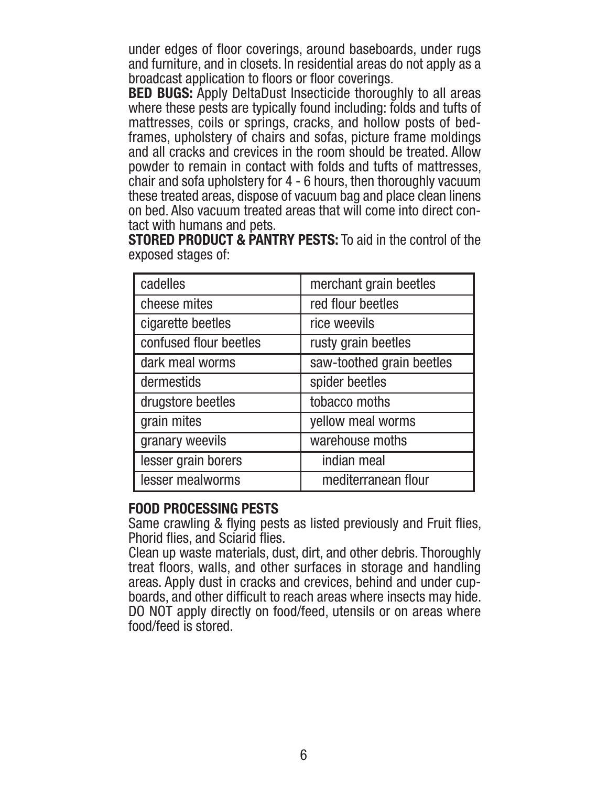under edges of floor coverings, around baseboards, under rugs and furniture, and in closets. In residential areas do not apply as a broadcast application to floors or floor coverings.

**BED BUGS:** Apply DeltaDust Insecticide thoroughly to all areas where these pests are typically found including: folds and tufts of mattresses, coils or springs, cracks, and hollow posts of bedframes, upholstery of chairs and sofas, picture frame moldings and all cracks and crevices in the room should be treated. Allow powder to remain in contact with folds and tufts of mattresses, chair and sofa upholstery for 4 - 6 hours, then thoroughly vacuum these treated areas, dispose of vacuum bag and place clean linens on bed. Also vacuum treated areas that will come into direct con-

tact with humans and pets. **STORED PRODUCT & PANTRY PESTS:** To aid in the control of the exposed stages of:

| cadelles               | merchant grain beetles    |
|------------------------|---------------------------|
| cheese mites           | red flour beetles         |
| cigarette beetles      | rice weevils              |
| confused flour beetles | rusty grain beetles       |
| dark meal worms        | saw-toothed grain beetles |
| dermestids             | spider beetles            |
| drugstore beetles      | tobacco moths             |
| grain mites            | yellow meal worms         |
| granary weevils        | warehouse moths           |
| lesser grain borers    | indian meal               |
| lesser mealworms       | mediterranean flour       |

#### **FOOD PROCESSING PESTS**

Same crawling & flying pests as listed previously and Fruit flies,

Phorid flies, and Sciarid flies.<br>Clean up waste materials, dust, dirt, and other debris. Thoroughly treat floors, walls, and other surfaces in storage and handling areas. Apply dust in cracks and crevices, behind and under cupboards, and other difficult to reach areas where insects may hide. DO NOT apply directly on food/feed, utensils or on areas where food/feed is stored.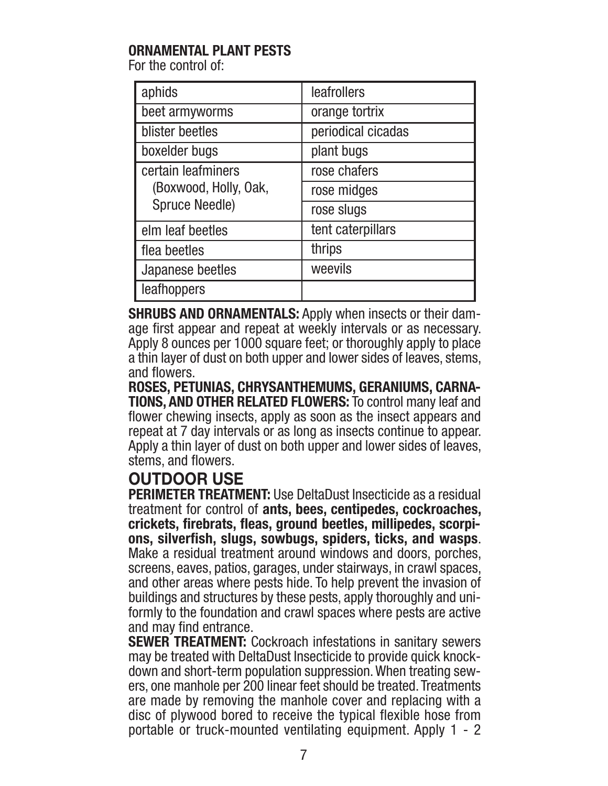### **ORNAMENTAL PLANT PESTS**

For the control of:

| aphids                                                               | leafrollers        |
|----------------------------------------------------------------------|--------------------|
| beet armyworms                                                       | orange tortrix     |
| blister beetles                                                      | periodical cicadas |
| boxelder bugs                                                        | plant bugs         |
| certain leafminers<br>(Boxwood, Holly, Oak,<br><b>Spruce Needle)</b> | rose chafers       |
|                                                                      | rose midges        |
|                                                                      | rose slugs         |
| elm leaf beetles                                                     | tent caterpillars  |
| flea beetles                                                         | thrips             |
| Japanese beetles                                                     | weevils            |
| leafhoppers                                                          |                    |

**SHRUBS AND ORNAMENTALS:** Apply when insects or their damage first appear and repeat at weekly intervals or as necessary. Apply 8 ounces per 1000 square feet; or thoroughly apply to place a thin layer of dust on both upper and lower sides of leaves, stems, and flowers.

**ROSES, PETUNIAS, CHRYSANTHEMUMS, GERANIUMS, CARNA-TIONS, AND OTHER RELATED FLOWERS:** To control many leaf and flower chewing insects, apply as soon as the insect appears and repeat at 7 day intervals or as long as insects continue to appear. Apply a thin layer of dust on both upper and lower sides of leaves, stems, and flowers.

### **OUTDOOR USE**

**PERIMETER TREATMENT:** Use DeltaDust Insecticide as a residual treatment for control of **ants, bees, centipedes, cockroaches, crickets, firebrats, fleas, ground beetles, millipedes, scorpions, silverfish, slugs, sowbugs, spiders, ticks, and wasps**. Make a residual treatment around windows and doors, porches, screens, eaves, patios, garages, under stairways, in crawl spaces, and other areas where pests hide. To help prevent the invasion of buildings and structures by these pests, apply thoroughly and uniformly to the foundation and crawl spaces where pests are active and may find entrance.

**SEWER TREATMENT:** Cockroach infestations in sanitary sewers may be treated with DeltaDust Insecticide to provide quick knockdown and short-term population suppression. When treating sewers, one manhole per 200 linear feet should be treated. Treatments are made by removing the manhole cover and replacing with a disc of plywood bored to receive the typical flexible hose from portable or truck-mounted ventilating equipment. Apply 1 - 2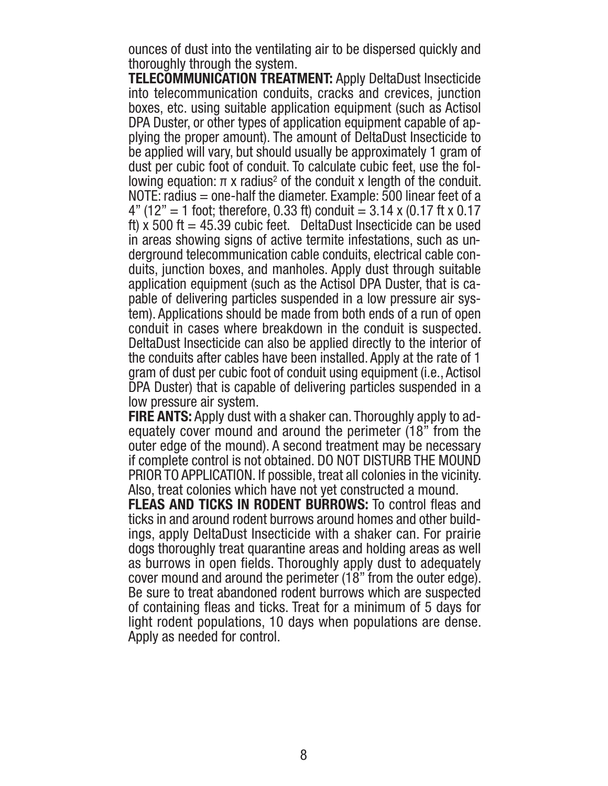ounces of dust into the ventilating air to be dispersed quickly and thoroughly through the system.

**TELECOMMUNICATION TREATMENT:** Apply DeltaDust Insecticide into telecommunication conduits, cracks and crevices, junction boxes, etc. using suitable application equipment (such as Actisol DPA Duster, or other types of application equipment capable of ap plying the proper amount). The amount of DeltaDust Insecticide to be applied will vary, but should usually be approximately 1 gram of dust per cubic foot of conduit. To calculate cubic feet, use the following equation:  $π$  x radius<sup>2</sup> of the conduit x length of the conduit. NOTE: radius = one-half the diameter. Example: 500 linear feet of a  $4"$  (12" = 1 foot; therefore, 0.33 ft) conduit = 3.14 x (0.17 ft x 0.17 ft) x 500 ft = 45.39 cubic feet. DeltaDust Insecticide can be used in areas showing signs of active termite infestations, such as un derground telecommunication cable conduits, electrical cable con duits, junction boxes, and manholes. Apply dust through suitable application equipment (such as the Actisol DPA Duster, that is ca pable of delivering particles suspended in a low pressure air system). Applications should be made from both ends of a run of open conduit in cases where breakdown in the conduit is suspected. DeltaDust Insecticide can also be applied directly to the interior of the conduits after cables have been installed. Apply at the rate of 1 gram of dust per cubic foot of conduit using equipment (i.e., Actisol DPA Duster) that is capable of delivering particles suspended in a low pressure air system.

**FIRE ANTS:** Apply dust with a shaker can. Thoroughly apply to ad-equately cover mound and around the perimeter (18" from the outer edge of the mound). A second treatment may be necessary if complete control is not obtained. DO NOT DISTURB THE MOUND PRIOR TO APPLICATION. If possible, treat all colonies in the vicinity. Also, treat colonies which have not yet constructed a mound.

**FLEAS AND TICKS IN RODENT BURROWS:** To control fleas and ticks in and around rodent burrows around homes and other buildings, apply DeltaDust Insecticide with a shaker can. For prairie dogs thoroughly treat quarantine areas and holding areas as well as burrows in open fields. Thoroughly apply dust to adequately cover mound and around the perimeter (18" from the outer edge). Be sure to treat abandoned rodent burrows which are suspected of containing fleas and ticks. Treat for a minimum of 5 days for light rodent populations, 10 days when populations are dense. Apply as needed for control.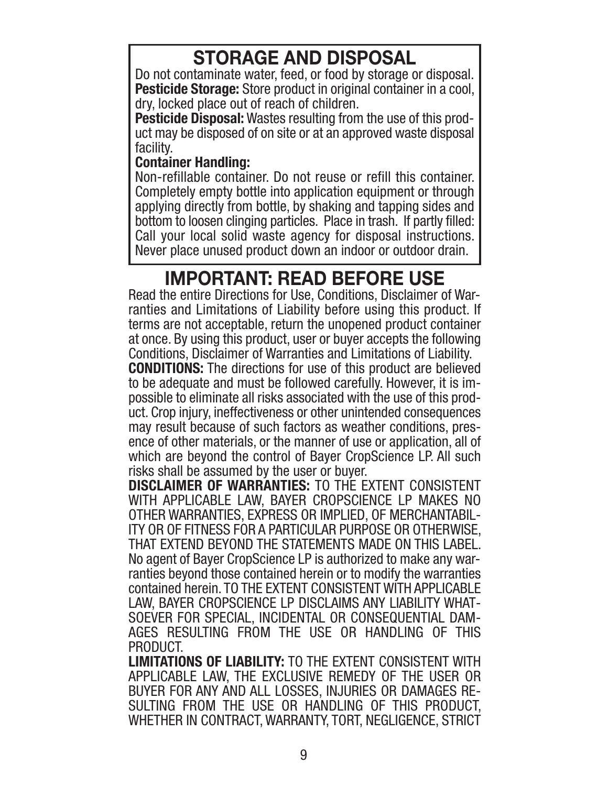# **STORAGE AND DISPOSAL**

Do not contaminate water, feed, or food by storage or disposal. **Pesticide Storage:** Store product in original container in a cool, dry, locked place out of reach of children.

**Pesticide Disposal:** Wastes resulting from the use of this product may be disposed of on site or at an approved waste disposal facility.

#### **Container Handling:**

Non-refillable container. Do not reuse or refill this container. Completely empty bottle into application equipment or through applying directly from bottle, by shaking and tapping sides and bottom to loosen clinging particles. Place in trash. If partly filled: Call your local solid waste agency for disposal instructions. Never place unused product down an indoor or outdoor drain.

## **IMPORTANT: READ BEFORE USE**

Read the entire Directions for Use, Conditions, Disclaimer of Warranties and Limitations of Liability before using this product. If terms are not acceptable, return the unopened product container at once. By using this product, user or buyer accepts the following Conditions, Disclaimer of Warranties and Limitations of Liability.

**CONDITIONS:** The directions for use of this product are believed to be adequate and must be followed carefully. However, it is impossible to eliminate all risks associated with the use of this product. Crop injury, ineffectiveness or other unintended consequences may result because of such factors as weather conditions, presence of other materials, or the manner of use or application, all of which are beyond the control of Bayer CropScience LP. All such risks shall be assumed by the user or buyer.

**DISCLAIMER OF WARRANTIES:** TO THE EXTENT CONSISTENT WITH APPLICABLE LAW, BAYER CROPSCIENCE LP MAKES NO OTHER WARRANTIES, EXPRESS OR IMPLIED, OF MERCHANTABIL-ITY OR OF FITNESS FOR A PARTICULAR PURPOSE OR OTHERWISE, THAT EXTEND BEYOND THE STATEMENTS MADE ON THIS LABEL. No agent of Bayer CropScience LP is authorized to make any warranties beyond those contained herein or to modify the warranties contained herein. TO THE EXTENT CONSISTENT WITH APPLICABLE LAW, BAYER CROPSCIENCE LP DISCLAIMS ANY LIABILITY WHAT-SOEVER FOR SPECIAL, INCIDENTAL OR CONSEQUENTIAL DAM-AGES RESULTING FROM THE USE OR HANDLING OF THIS PRODUCT.

**LIMITATIONS OF LIABILITY:** TO THE EXTENT CONSISTENT WITH APPLICABLE LAW, THE EXCLUSIVE REMEDY OF THE USER OR BUYER FOR ANY AND ALL LOSSES, INJURIES OR DAMAGES RE-SULTING FROM THE USE OR HANDLING OF THIS PRODUCT, WHETHER IN CONTRACT, WARRANTY, TORT, NEGLIGENCE, STRICT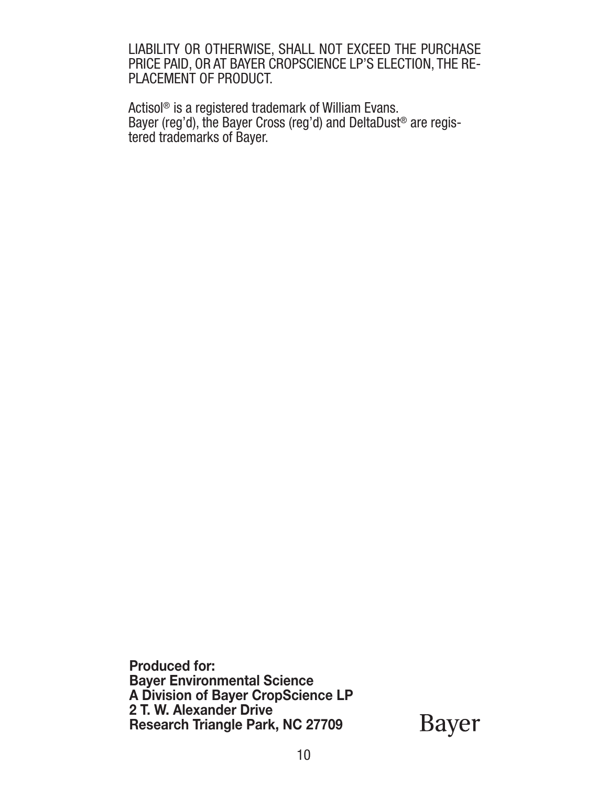LIABILITY OR OTHERWISE, SHALL NOT EXCEED THE PURCHASE PRICE PAID, OR AT BAYER CROPSCIENCE LP'S ELECTION, THE RE-PLACEMENT OF PRODUCT.

Actisol® is a registered trademark of William Evans. Bayer (reg'd), the Bayer Cross (reg'd) and DeltaDust ® are registered trademarks of Bayer.

**Produced for: Bayer Environmental Science A Division of Bayer CropScience LP 2 T. W. Alexander Drive Research Triangle Park, NC 27709** 

Bayer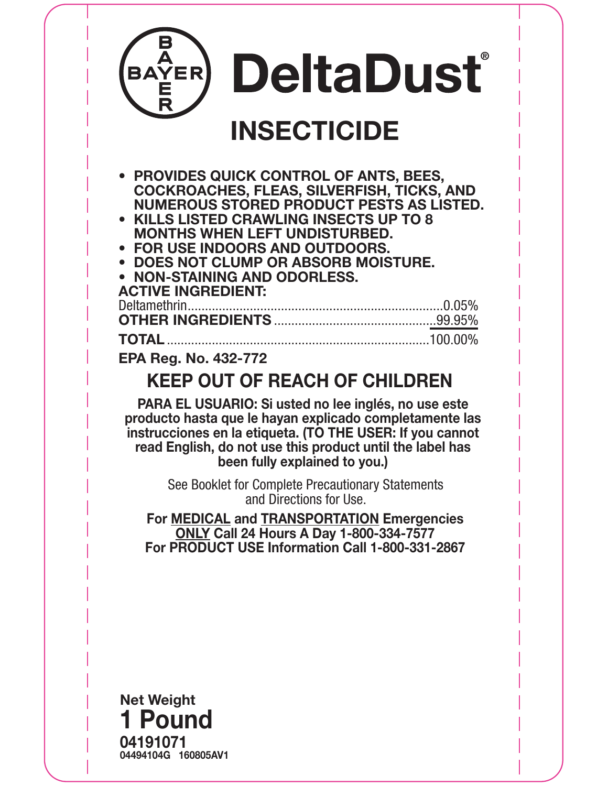